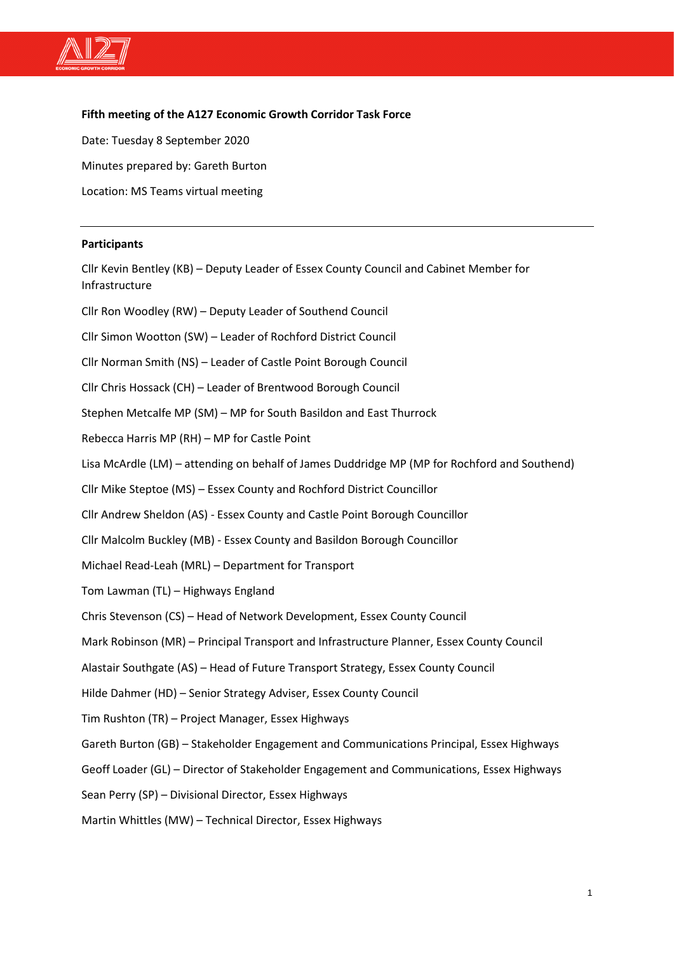

#### **Fifth meeting of the A127 Economic Growth Corridor Task Force**

Date: Tuesday 8 September 2020 Minutes prepared by: Gareth Burton Location: MS Teams virtual meeting

#### **Participants**

Cllr Kevin Bentley (KB) – Deputy Leader of Essex County Council and Cabinet Member for Infrastructure Cllr Ron Woodley (RW) – Deputy Leader of Southend Council Cllr Simon Wootton (SW) – Leader of Rochford District Council Cllr Norman Smith (NS) – Leader of Castle Point Borough Council Cllr Chris Hossack (CH) – Leader of Brentwood Borough Council Stephen Metcalfe MP (SM) – MP for South Basildon and East Thurrock Rebecca Harris MP (RH) – MP for Castle Point Lisa McArdle (LM) – attending on behalf of James Duddridge MP (MP for Rochford and Southend) Cllr Mike Steptoe (MS) – Essex County and Rochford District Councillor Cllr Andrew Sheldon (AS) - Essex County and Castle Point Borough Councillor Cllr Malcolm Buckley (MB) - Essex County and Basildon Borough Councillor Michael Read-Leah (MRL) – Department for Transport Tom Lawman (TL) – Highways England Chris Stevenson (CS) – Head of Network Development, Essex County Council Mark Robinson (MR) – Principal Transport and Infrastructure Planner, Essex County Council Alastair Southgate (AS) – Head of Future Transport Strategy, Essex County Council Hilde Dahmer (HD) – Senior Strategy Adviser, Essex County Council Tim Rushton (TR) – Project Manager, Essex Highways Gareth Burton (GB) – Stakeholder Engagement and Communications Principal, Essex Highways Geoff Loader (GL) – Director of Stakeholder Engagement and Communications, Essex Highways Sean Perry (SP) – Divisional Director, Essex Highways Martin Whittles (MW) – Technical Director, Essex Highways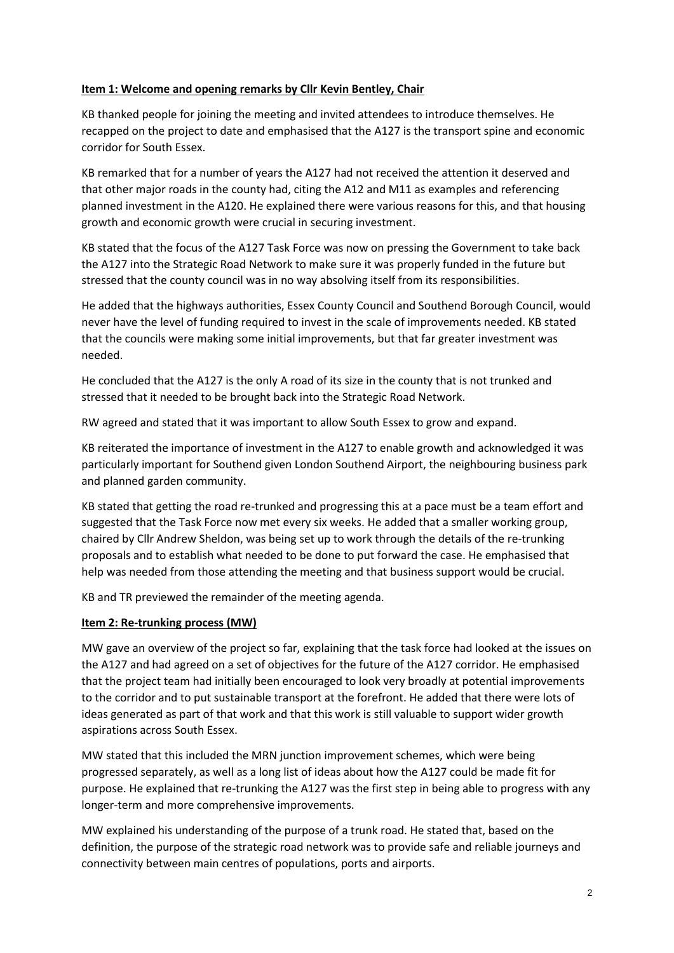#### **Item 1: Welcome and opening remarks by Cllr Kevin Bentley, Chair**

KB thanked people for joining the meeting and invited attendees to introduce themselves. He recapped on the project to date and emphasised that the A127 is the transport spine and economic corridor for South Essex.

KB remarked that for a number of years the A127 had not received the attention it deserved and that other major roads in the county had, citing the A12 and M11 as examples and referencing planned investment in the A120. He explained there were various reasons for this, and that housing growth and economic growth were crucial in securing investment.

KB stated that the focus of the A127 Task Force was now on pressing the Government to take back the A127 into the Strategic Road Network to make sure it was properly funded in the future but stressed that the county council was in no way absolving itself from its responsibilities.

He added that the highways authorities, Essex County Council and Southend Borough Council, would never have the level of funding required to invest in the scale of improvements needed. KB stated that the councils were making some initial improvements, but that far greater investment was needed.

He concluded that the A127 is the only A road of its size in the county that is not trunked and stressed that it needed to be brought back into the Strategic Road Network.

RW agreed and stated that it was important to allow South Essex to grow and expand.

KB reiterated the importance of investment in the A127 to enable growth and acknowledged it was particularly important for Southend given London Southend Airport, the neighbouring business park and planned garden community.

KB stated that getting the road re-trunked and progressing this at a pace must be a team effort and suggested that the Task Force now met every six weeks. He added that a smaller working group, chaired by Cllr Andrew Sheldon, was being set up to work through the details of the re-trunking proposals and to establish what needed to be done to put forward the case. He emphasised that help was needed from those attending the meeting and that business support would be crucial.

KB and TR previewed the remainder of the meeting agenda.

#### **Item 2: Re-trunking process (MW)**

MW gave an overview of the project so far, explaining that the task force had looked at the issues on the A127 and had agreed on a set of objectives for the future of the A127 corridor. He emphasised that the project team had initially been encouraged to look very broadly at potential improvements to the corridor and to put sustainable transport at the forefront. He added that there were lots of ideas generated as part of that work and that this work is still valuable to support wider growth aspirations across South Essex.

MW stated that this included the MRN junction improvement schemes, which were being progressed separately, as well as a long list of ideas about how the A127 could be made fit for purpose. He explained that re-trunking the A127 was the first step in being able to progress with any longer-term and more comprehensive improvements.

MW explained his understanding of the purpose of a trunk road. He stated that, based on the definition, the purpose of the strategic road network was to provide safe and reliable journeys and connectivity between main centres of populations, ports and airports.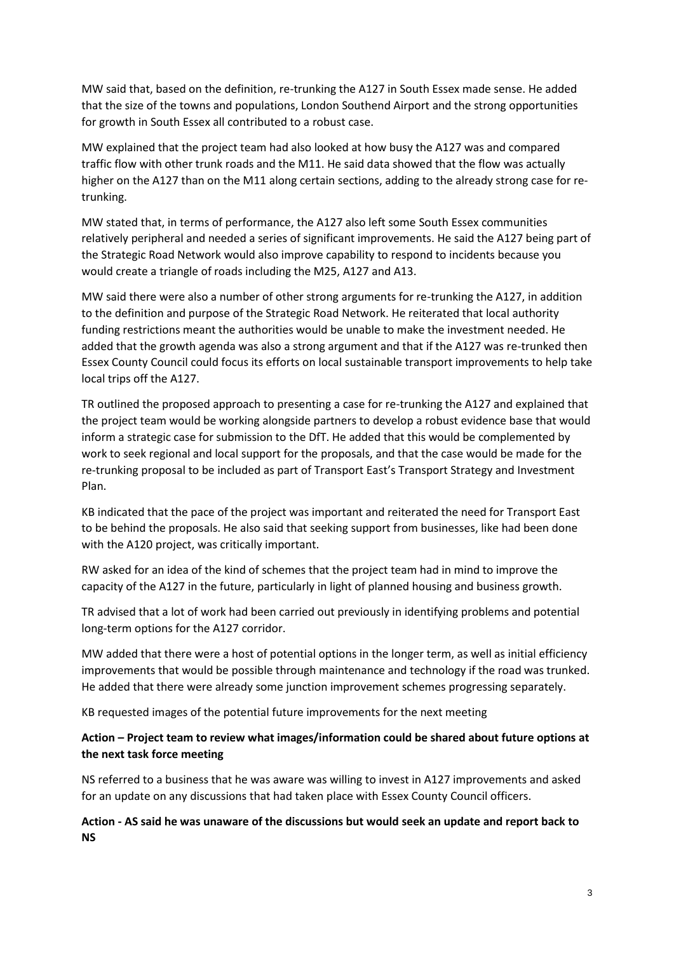MW said that, based on the definition, re-trunking the A127 in South Essex made sense. He added that the size of the towns and populations, London Southend Airport and the strong opportunities for growth in South Essex all contributed to a robust case.

MW explained that the project team had also looked at how busy the A127 was and compared traffic flow with other trunk roads and the M11. He said data showed that the flow was actually higher on the A127 than on the M11 along certain sections, adding to the already strong case for retrunking.

MW stated that, in terms of performance, the A127 also left some South Essex communities relatively peripheral and needed a series of significant improvements. He said the A127 being part of the Strategic Road Network would also improve capability to respond to incidents because you would create a triangle of roads including the M25, A127 and A13.

MW said there were also a number of other strong arguments for re-trunking the A127, in addition to the definition and purpose of the Strategic Road Network. He reiterated that local authority funding restrictions meant the authorities would be unable to make the investment needed. He added that the growth agenda was also a strong argument and that if the A127 was re-trunked then Essex County Council could focus its efforts on local sustainable transport improvements to help take local trips off the A127.

TR outlined the proposed approach to presenting a case for re-trunking the A127 and explained that the project team would be working alongside partners to develop a robust evidence base that would inform a strategic case for submission to the DfT. He added that this would be complemented by work to seek regional and local support for the proposals, and that the case would be made for the re-trunking proposal to be included as part of Transport East's Transport Strategy and Investment Plan.

KB indicated that the pace of the project was important and reiterated the need for Transport East to be behind the proposals. He also said that seeking support from businesses, like had been done with the A120 project, was critically important.

RW asked for an idea of the kind of schemes that the project team had in mind to improve the capacity of the A127 in the future, particularly in light of planned housing and business growth.

TR advised that a lot of work had been carried out previously in identifying problems and potential long-term options for the A127 corridor.

MW added that there were a host of potential options in the longer term, as well as initial efficiency improvements that would be possible through maintenance and technology if the road was trunked. He added that there were already some junction improvement schemes progressing separately.

KB requested images of the potential future improvements for the next meeting

# **Action – Project team to review what images/information could be shared about future options at the next task force meeting**

NS referred to a business that he was aware was willing to invest in A127 improvements and asked for an update on any discussions that had taken place with Essex County Council officers.

**Action - AS said he was unaware of the discussions but would seek an update and report back to NS**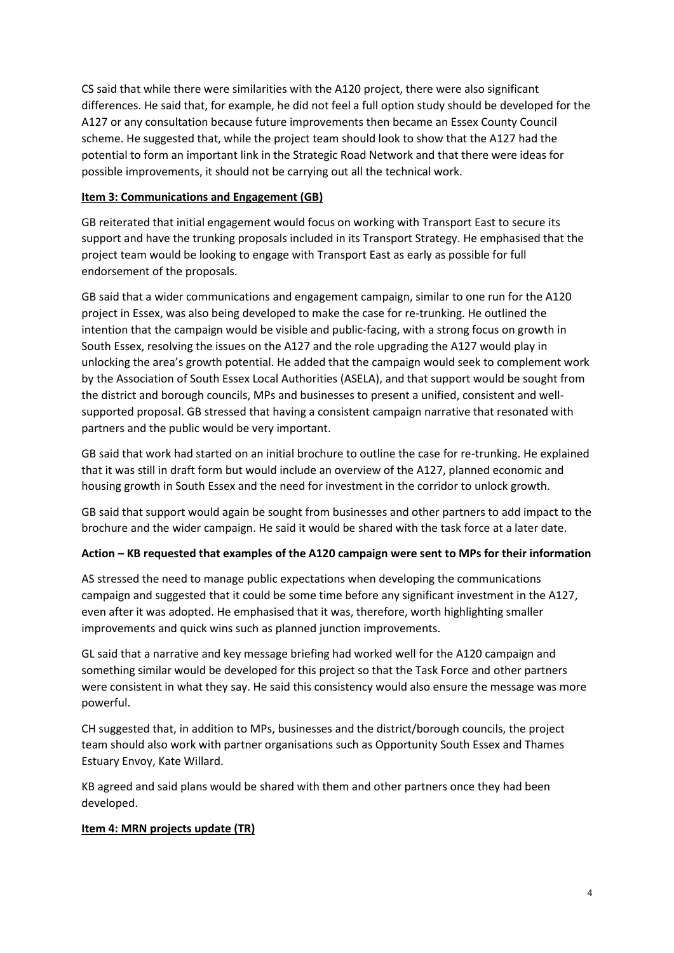CS said that while there were similarities with the A120 project, there were also significant differences. He said that, for example, he did not feel a full option study should be developed for the A127 or any consultation because future improvements then became an Essex County Council scheme. He suggested that, while the project team should look to show that the A127 had the potential to form an important link in the Strategic Road Network and that there were ideas for possible improvements, it should not be carrying out all the technical work.

# **Item 3: Communications and Engagement (GB)**

GB reiterated that initial engagement would focus on working with Transport East to secure its support and have the trunking proposals included in its Transport Strategy. He emphasised that the project team would be looking to engage with Transport East as early as possible for full endorsement of the proposals.

GB said that a wider communications and engagement campaign, similar to one run for the A120 project in Essex, was also being developed to make the case for re-trunking. He outlined the intention that the campaign would be visible and public-facing, with a strong focus on growth in South Essex, resolving the issues on the A127 and the role upgrading the A127 would play in unlocking the area's growth potential. He added that the campaign would seek to complement work by the Association of South Essex Local Authorities (ASELA), and that support would be sought from the district and borough councils, MPs and businesses to present a unified, consistent and wellsupported proposal. GB stressed that having a consistent campaign narrative that resonated with partners and the public would be very important.

GB said that work had started on an initial brochure to outline the case for re-trunking. He explained that it was still in draft form but would include an overview of the A127, planned economic and housing growth in South Essex and the need for investment in the corridor to unlock growth.

GB said that support would again be sought from businesses and other partners to add impact to the brochure and the wider campaign. He said it would be shared with the task force at a later date.

# **Action – KB requested that examples of the A120 campaign were sent to MPs for their information**

AS stressed the need to manage public expectations when developing the communications campaign and suggested that it could be some time before any significant investment in the A127, even after it was adopted. He emphasised that it was, therefore, worth highlighting smaller improvements and quick wins such as planned junction improvements.

GL said that a narrative and key message briefing had worked well for the A120 campaign and something similar would be developed for this project so that the Task Force and other partners were consistent in what they say. He said this consistency would also ensure the message was more powerful.

CH suggested that, in addition to MPs, businesses and the district/borough councils, the project team should also work with partner organisations such as Opportunity South Essex and Thames Estuary Envoy, Kate Willard.

KB agreed and said plans would be shared with them and other partners once they had been developed.

# **Item 4: MRN projects update (TR)**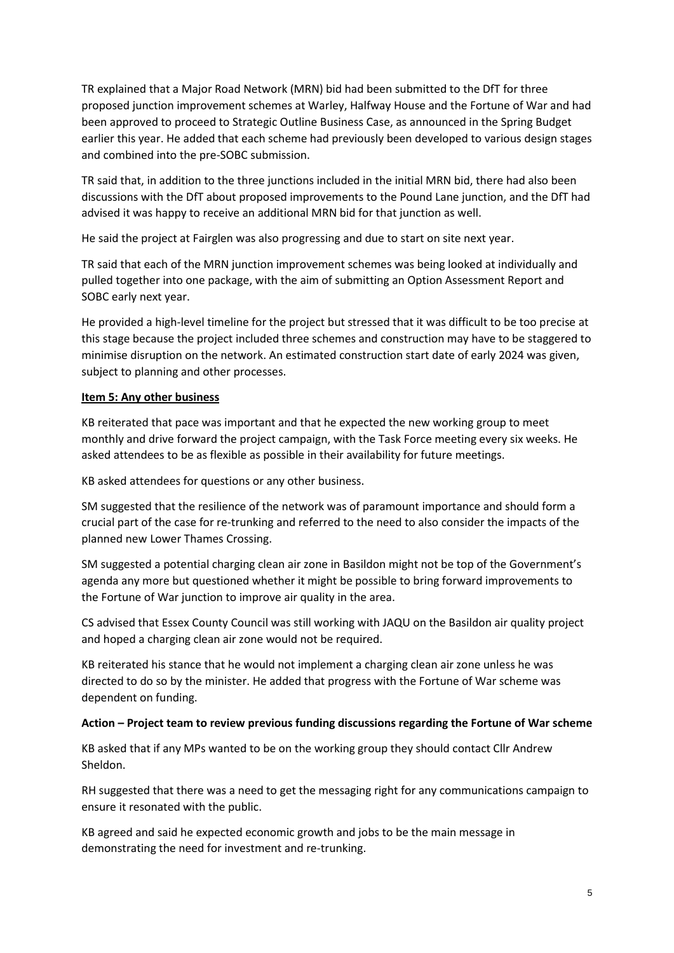TR explained that a Major Road Network (MRN) bid had been submitted to the DfT for three proposed junction improvement schemes at Warley, Halfway House and the Fortune of War and had been approved to proceed to Strategic Outline Business Case, as announced in the Spring Budget earlier this year. He added that each scheme had previously been developed to various design stages and combined into the pre-SOBC submission.

TR said that, in addition to the three junctions included in the initial MRN bid, there had also been discussions with the DfT about proposed improvements to the Pound Lane junction, and the DfT had advised it was happy to receive an additional MRN bid for that junction as well.

He said the project at Fairglen was also progressing and due to start on site next year.

TR said that each of the MRN junction improvement schemes was being looked at individually and pulled together into one package, with the aim of submitting an Option Assessment Report and SOBC early next year.

He provided a high-level timeline for the project but stressed that it was difficult to be too precise at this stage because the project included three schemes and construction may have to be staggered to minimise disruption on the network. An estimated construction start date of early 2024 was given, subject to planning and other processes.

# **Item 5: Any other business**

KB reiterated that pace was important and that he expected the new working group to meet monthly and drive forward the project campaign, with the Task Force meeting every six weeks. He asked attendees to be as flexible as possible in their availability for future meetings.

KB asked attendees for questions or any other business.

SM suggested that the resilience of the network was of paramount importance and should form a crucial part of the case for re-trunking and referred to the need to also consider the impacts of the planned new Lower Thames Crossing.

SM suggested a potential charging clean air zone in Basildon might not be top of the Government's agenda any more but questioned whether it might be possible to bring forward improvements to the Fortune of War junction to improve air quality in the area.

CS advised that Essex County Council was still working with JAQU on the Basildon air quality project and hoped a charging clean air zone would not be required.

KB reiterated his stance that he would not implement a charging clean air zone unless he was directed to do so by the minister. He added that progress with the Fortune of War scheme was dependent on funding.

#### **Action – Project team to review previous funding discussions regarding the Fortune of War scheme**

KB asked that if any MPs wanted to be on the working group they should contact Cllr Andrew Sheldon.

RH suggested that there was a need to get the messaging right for any communications campaign to ensure it resonated with the public.

KB agreed and said he expected economic growth and jobs to be the main message in demonstrating the need for investment and re-trunking.